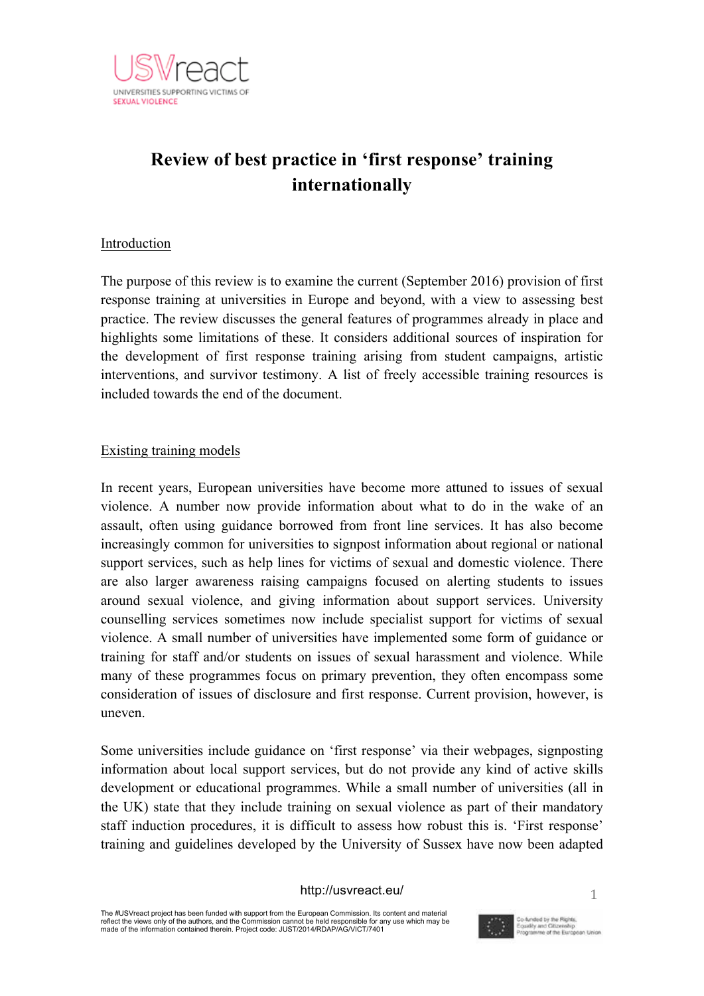

# **Review of best practice in 'first response' training internationally**

# Introduction

The purpose of this review is to examine the current (September 2016) provision of first response training at universities in Europe and beyond, with a view to assessing best practice. The review discusses the general features of programmes already in place and highlights some limitations of these. It considers additional sources of inspiration for the development of first response training arising from student campaigns, artistic interventions, and survivor testimony. A list of freely accessible training resources is included towards the end of the document.

# Existing training models

In recent years, European universities have become more attuned to issues of sexual violence. A number now provide information about what to do in the wake of an assault, often using guidance borrowed from front line services. It has also become increasingly common for universities to signpost information about regional or national support services, such as help lines for victims of sexual and domestic violence. There are also larger awareness raising campaigns focused on alerting students to issues around sexual violence, and giving information about support services. University counselling services sometimes now include specialist support for victims of sexual violence. A small number of universities have implemented some form of guidance or training for staff and/or students on issues of sexual harassment and violence. While many of these programmes focus on primary prevention, they often encompass some consideration of issues of disclosure and first response. Current provision, however, is uneven.

Some universities include guidance on 'first response' via their webpages, signposting information about local support services, but do not provide any kind of active skills development or educational programmes. While a small number of universities (all in the UK) state that they include training on sexual violence as part of their mandatory staff induction procedures, it is difficult to assess how robust this is. 'First response' training and guidelines developed by the University of Sussex have now been adapted

#### http://usvreact.eu/

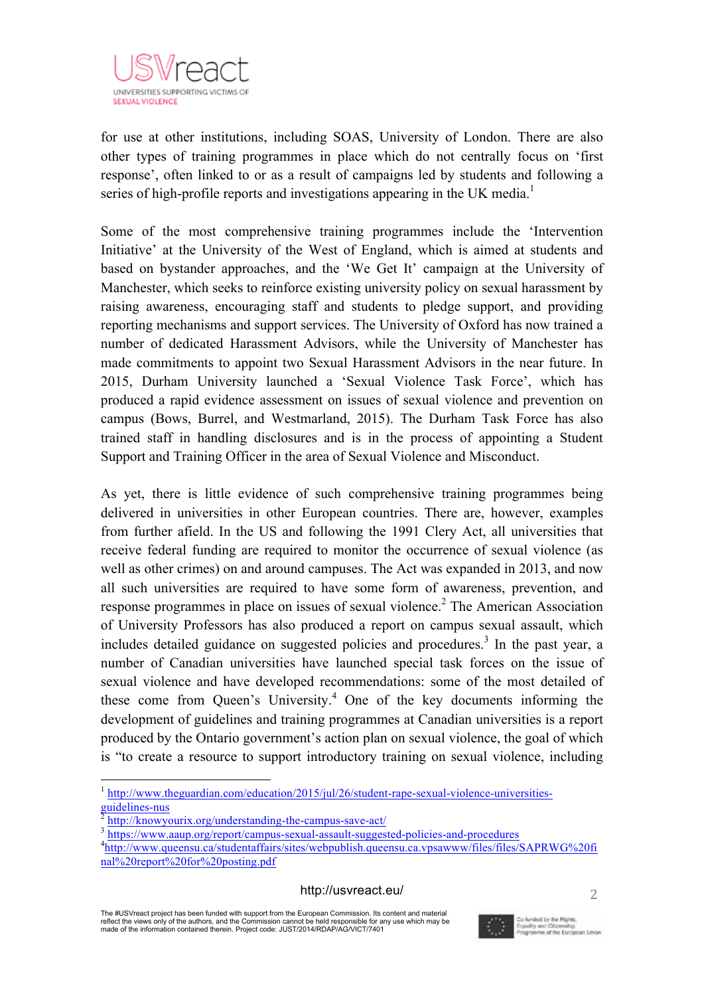

 $\mathbf{r}$ for use at other institutions, including SOAS, University of London. There are also other types of training programmes in place which do not centrally focus on 'first response', often linked to or as a result of campaigns led by students and following a series of high-profile reports and investigations appearing in the UK media.<sup>1</sup>

Some of the most comprehensive training programmes include the 'Intervention Initiative' at the University of the West of England, which is aimed at students and based on bystander approaches, and the 'We Get It' campaign at the University of Manchester, which seeks to reinforce existing university policy on sexual harassment by raising awareness, encouraging staff and students to pledge support, and providing reporting mechanisms and support services. The University of Oxford has now trained a number of dedicated Harassment Advisors, while the University of Manchester has made commitments to appoint two Sexual Harassment Advisors in the near future. In 2015, Durham University launched a 'Sexual Violence Task Force', which has produced a rapid evidence assessment on issues of sexual violence and prevention on campus (Bows, Burrel, and Westmarland, 2015). The Durham Task Force has also trained staff in handling disclosures and is in the process of appointing a Student Support and Training Officer in the area of Sexual Violence and Misconduct.

As yet, there is little evidence of such comprehensive training programmes being delivered in universities in other European countries. There are, however, examples from further afield. In the US and following the 1991 Clery Act, all universities that receive federal funding are required to monitor the occurrence of sexual violence (as well as other crimes) on and around campuses. The Act was expanded in 2013, and now all such universities are required to have some form of awareness, prevention, and response programmes in place on issues of sexual violence.<sup>2</sup> The American Association of University Professors has also produced a report on campus sexual assault, which includes detailed guidance on suggested policies and procedures. <sup>3</sup> In the past year, a number of Canadian universities have launched special task forces on the issue of sexual violence and have developed recommendations: some of the most detailed of these come from Queen's University.<sup>4</sup> One of the key documents informing the development of guidelines and training programmes at Canadian universities is a report produced by the Ontario government's action plan on sexual violence, the goal of which is "to create a resource to support introductory training on sexual violence, including

#### http://usvreact.eu/

The #USVreact project has been funded with support from the European Commission. Its content and material reflect the views only of the authors, and the Commission cannot be held responsible for any use which may be made of the information contained therein. Project code: JUST/2014/RDAP/AG/VICT/7401



 <sup>1</sup> http://www.theguardian.com/education/2015/jul/26/student-rape-sexual-violence-universitiesguidelines-nus<br>
<sup>2</sup> http://knowyourix.org/understanding-the-campus-save-act/<br>
<sup>3</sup> https://www.aaup.org/report/campus-sexual-assa<u>ult-suggested-policies-and-procedures</u>

http://www.queensu.ca/studentaffairs/sites/webpublish.queensu.ca.vpsawww/files/files/SAPRWG%20fi nal%20report%20for%20posting.pdf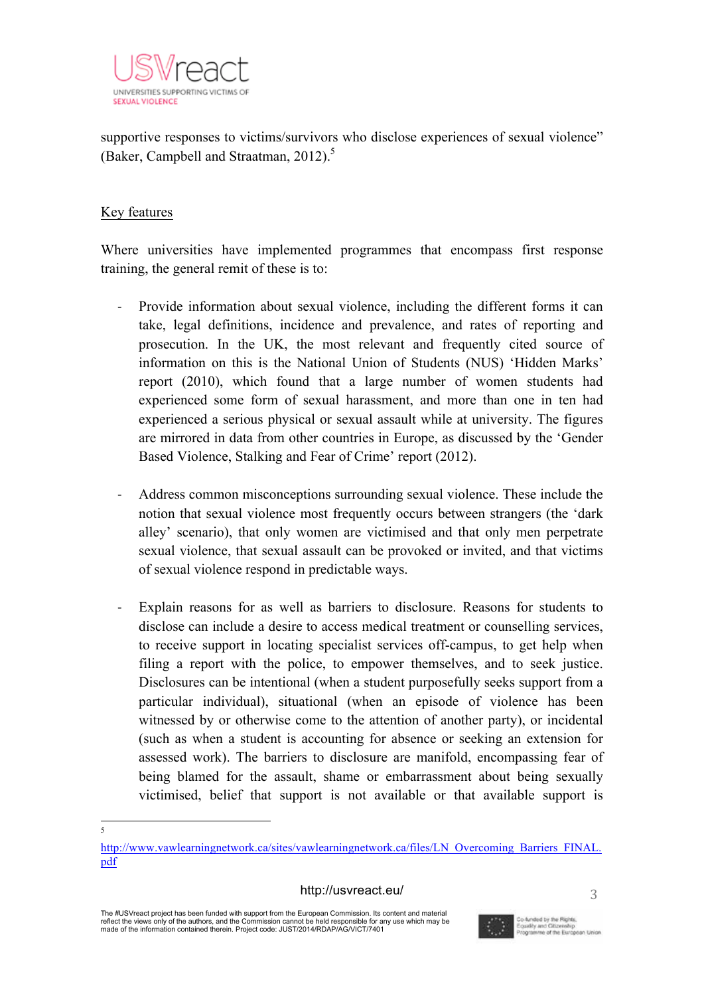

 supportive responses to victims/survivors who disclose experiences of sexual violence" (Baker, Campbell and Straatman, 2012).<sup>5</sup>

# Key features

Where universities have implemented programmes that encompass first response training, the general remit of these is to:

- Provide information about sexual violence, including the different forms it can take, legal definitions, incidence and prevalence, and rates of reporting and prosecution. In the UK, the most relevant and frequently cited source of information on this is the National Union of Students (NUS) 'Hidden Marks' report (2010), which found that a large number of women students had experienced some form of sexual harassment, and more than one in ten had experienced a serious physical or sexual assault while at university. The figures are mirrored in data from other countries in Europe, as discussed by the 'Gender Based Violence, Stalking and Fear of Crime' report (2012).
- Address common misconceptions surrounding sexual violence. These include the notion that sexual violence most frequently occurs between strangers (the 'dark alley' scenario), that only women are victimised and that only men perpetrate sexual violence, that sexual assault can be provoked or invited, and that victims of sexual violence respond in predictable ways.
- Explain reasons for as well as barriers to disclosure. Reasons for students to disclose can include a desire to access medical treatment or counselling services, to receive support in locating specialist services off-campus, to get help when filing a report with the police, to empower themselves, and to seek justice. Disclosures can be intentional (when a student purposefully seeks support from a particular individual), situational (when an episode of violence has been witnessed by or otherwise come to the attention of another party), or incidental (such as when a student is accounting for absence or seeking an extension for assessed work). The barriers to disclosure are manifold, encompassing fear of being blamed for the assault, shame or embarrassment about being sexually victimised, belief that support is not available or that available support is

#### http://usvreact.eu/



 $\overline{\phantom{a}}$ 

http://www.vawlearningnetwork.ca/sites/vawlearningnetwork.ca/files/LN\_Overcoming\_Barriers\_FINAL. pdf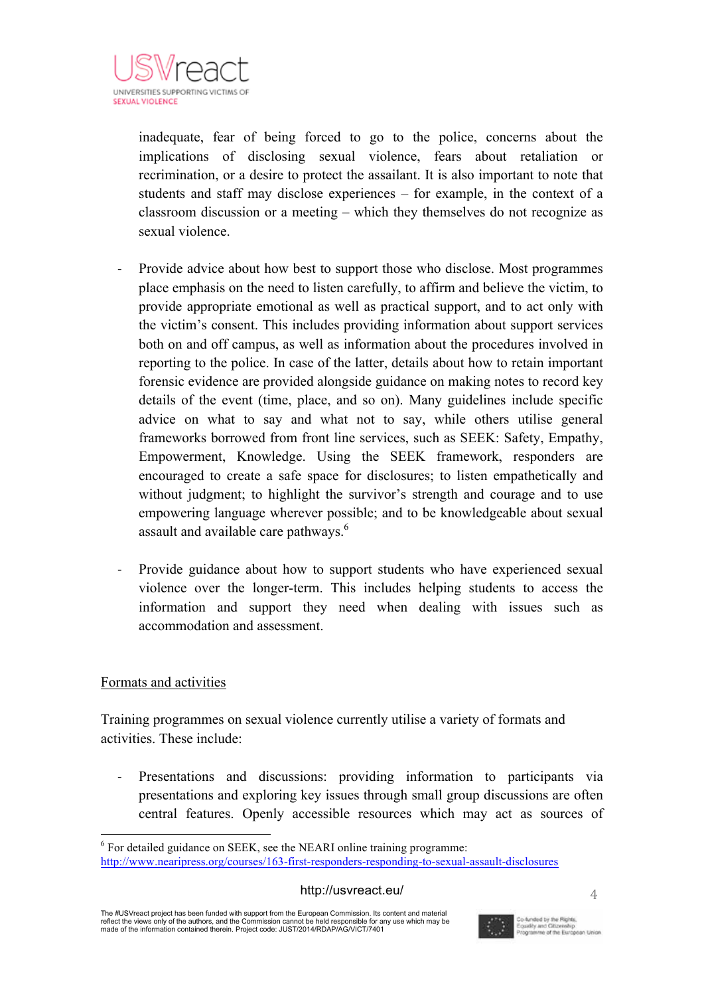

 inadequate, fear of being forced to go to the police, concerns about the implications of disclosing sexual violence, fears about retaliation or recrimination, or a desire to protect the assailant. It is also important to note that students and staff may disclose experiences – for example, in the context of a classroom discussion or a meeting – which they themselves do not recognize as sexual violence.

- Provide advice about how best to support those who disclose. Most programmes place emphasis on the need to listen carefully, to affirm and believe the victim, to provide appropriate emotional as well as practical support, and to act only with the victim's consent. This includes providing information about support services both on and off campus, as well as information about the procedures involved in reporting to the police. In case of the latter, details about how to retain important forensic evidence are provided alongside guidance on making notes to record key details of the event (time, place, and so on). Many guidelines include specific advice on what to say and what not to say, while others utilise general frameworks borrowed from front line services, such as SEEK: Safety, Empathy, Empowerment, Knowledge. Using the SEEK framework, responders are encouraged to create a safe space for disclosures; to listen empathetically and without judgment; to highlight the survivor's strength and courage and to use empowering language wherever possible; and to be knowledgeable about sexual assault and available care pathways.<sup>6</sup>
- Provide guidance about how to support students who have experienced sexual violence over the longer-term. This includes helping students to access the information and support they need when dealing with issues such as accommodation and assessment.

# Formats and activities

Training programmes on sexual violence currently utilise a variety of formats and activities. These include:

- Presentations and discussions: providing information to participants via presentations and exploring key issues through small group discussions are often central features. Openly accessible resources which may act as sources of

The #USVreact project has been funded with support from the European Commission. Its content and material reflect the views only of the authors, and the Commission cannot be held responsible for any use which may be made of the information contained therein. Project code: JUST/2014/RDAP/AG/VICT/7401



<sup>&</sup>lt;sup>6</sup> For detailed guidance on SEEK, see the NEARI online training programme: http://www.nearipress.org/courses/163-first-responders-responding-to-sexual-assault-disclosures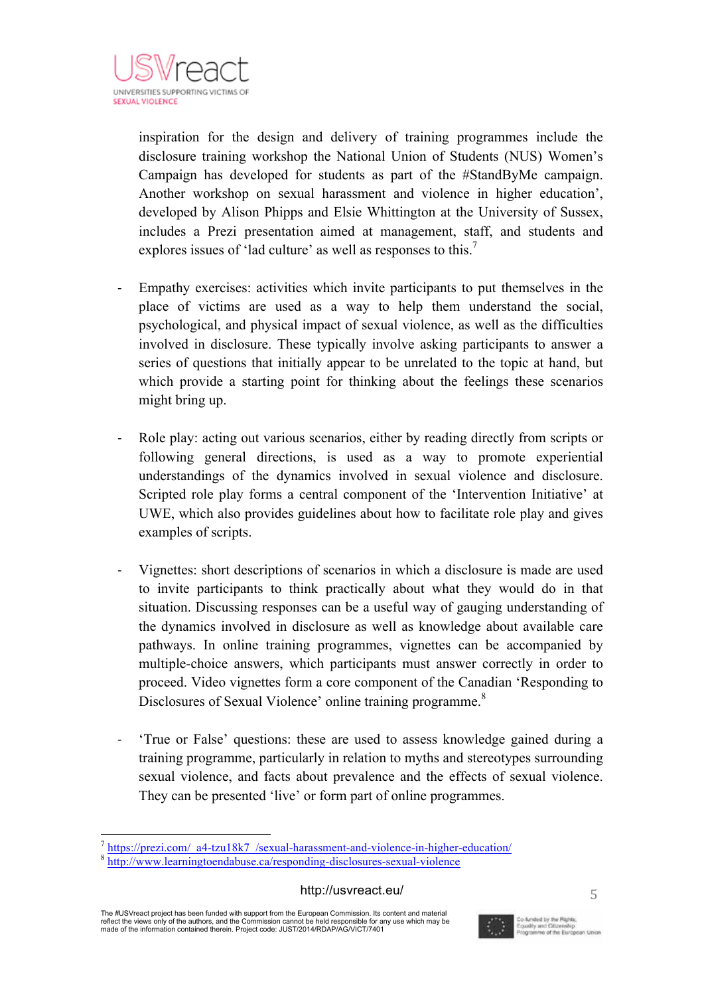

 inspiration for the design and delivery of training programmes include the disclosure training workshop the National Union of Students (NUS) Women's Campaign has developed for students as part of the #StandByMe campaign. Another workshop on sexual harassment and violence in higher education', developed by Alison Phipps and Elsie Whittington at the University of Sussex, includes a Prezi presentation aimed at management, staff, and students and explores issues of 'lad culture' as well as responses to this.<sup>7</sup>

- Empathy exercises: activities which invite participants to put themselves in the place of victims are used as a way to help them understand the social, psychological, and physical impact of sexual violence, as well as the difficulties involved in disclosure. These typically involve asking participants to answer a series of questions that initially appear to be unrelated to the topic at hand, but which provide a starting point for thinking about the feelings these scenarios might bring up.
- Role play: acting out various scenarios, either by reading directly from scripts or following general directions, is used as a way to promote experiential understandings of the dynamics involved in sexual violence and disclosure. Scripted role play forms a central component of the 'Intervention Initiative' at UWE, which also provides guidelines about how to facilitate role play and gives examples of scripts.
- Vignettes: short descriptions of scenarios in which a disclosure is made are used to invite participants to think practically about what they would do in that situation. Discussing responses can be a useful way of gauging understanding of the dynamics involved in disclosure as well as knowledge about available care pathways. In online training programmes, vignettes can be accompanied by multiple-choice answers, which participants must answer correctly in order to proceed. Video vignettes form a core component of the Canadian 'Responding to Disclosures of Sexual Violence' online training programme.<sup>8</sup>
- 'True or False' questions: these are used to assess knowledge gained during a training programme, particularly in relation to myths and stereotypes surrounding sexual violence, and facts about prevalence and the effects of sexual violence. They can be presented 'live' or form part of online programmes.

The #USVreact project has been funded with support from the European Commission. Its content and material reflect the views only of the authors, and the Commission cannot be held responsible for any use which may be made of the information contained therein. Project code: JUST/2014/RDAP/AG/VICT/7401



 $\frac{7}{8}$  https://prezi.com/\_a4-tzu18k7\_/sexual-harassment-and-violence-in-higher-education/<br> $\frac{8}{8}$  http://www.learningtoendabuse.ca/responding-disclosures-sexual-violence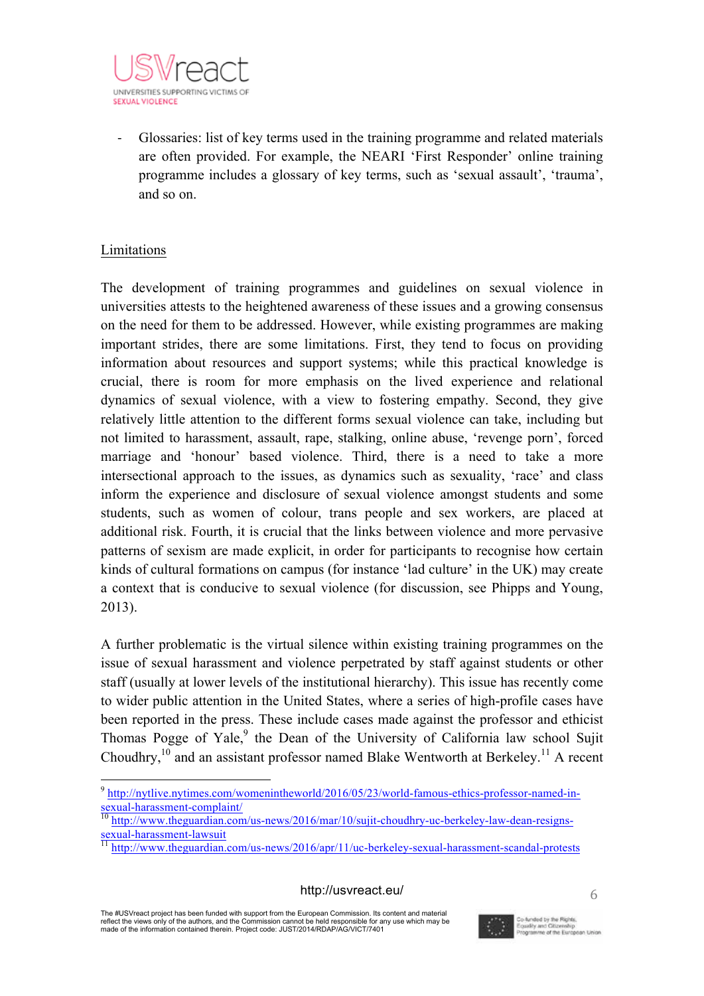

 - Glossaries: list of key terms used in the training programme and related materials are often provided. For example, the NEARI 'First Responder' online training programme includes a glossary of key terms, such as 'sexual assault', 'trauma', and so on.

# Limitations

The development of training programmes and guidelines on sexual violence in universities attests to the heightened awareness of these issues and a growing consensus on the need for them to be addressed. However, while existing programmes are making important strides, there are some limitations. First, they tend to focus on providing information about resources and support systems; while this practical knowledge is crucial, there is room for more emphasis on the lived experience and relational dynamics of sexual violence, with a view to fostering empathy. Second, they give relatively little attention to the different forms sexual violence can take, including but not limited to harassment, assault, rape, stalking, online abuse, 'revenge porn', forced marriage and 'honour' based violence. Third, there is a need to take a more intersectional approach to the issues, as dynamics such as sexuality, 'race' and class inform the experience and disclosure of sexual violence amongst students and some students, such as women of colour, trans people and sex workers, are placed at additional risk. Fourth, it is crucial that the links between violence and more pervasive patterns of sexism are made explicit, in order for participants to recognise how certain kinds of cultural formations on campus (for instance 'lad culture' in the UK) may create a context that is conducive to sexual violence (for discussion, see Phipps and Young, 2013).

A further problematic is the virtual silence within existing training programmes on the issue of sexual harassment and violence perpetrated by staff against students or other staff (usually at lower levels of the institutional hierarchy). This issue has recently come to wider public attention in the United States, where a series of high-profile cases have been reported in the press. These include cases made against the professor and ethicist Thomas Pogge of Yale,  $9$  the Dean of the University of California law school Sujit Choudhry,  $^{10}$  and an assistant professor named Blake Wentworth at Berkeley.<sup>11</sup> A recent

The #USVreact project has been funded with support from the European Commission. Its content and material reflect the views only of the authors, and the Commission cannot be held responsible for any use which may be made of the information contained therein. Project code: JUST/2014/RDAP/AG/VICT/7401



 <sup>9</sup> http://nytlive.nytimes.com/womenintheworld/2016/05/23/world-famous-ethics-professor-named-in-

sexual-harassment-complaint/<br>
<sup>10</sup> http://www.theguardian.com/us-news/2016/mar/10/sujit-choudhry-uc-berkeley-law-dean-resigns-<br>
sexual-harassment-lawsuit<br>
<sup>11</sup> http://www.theguardian.com/us-news/2016/mar/10/sujit-choudhry-

http://www.theguardian.com/us-news/2016/apr/11/uc-berkeley-sexual-harassment-scandal-protests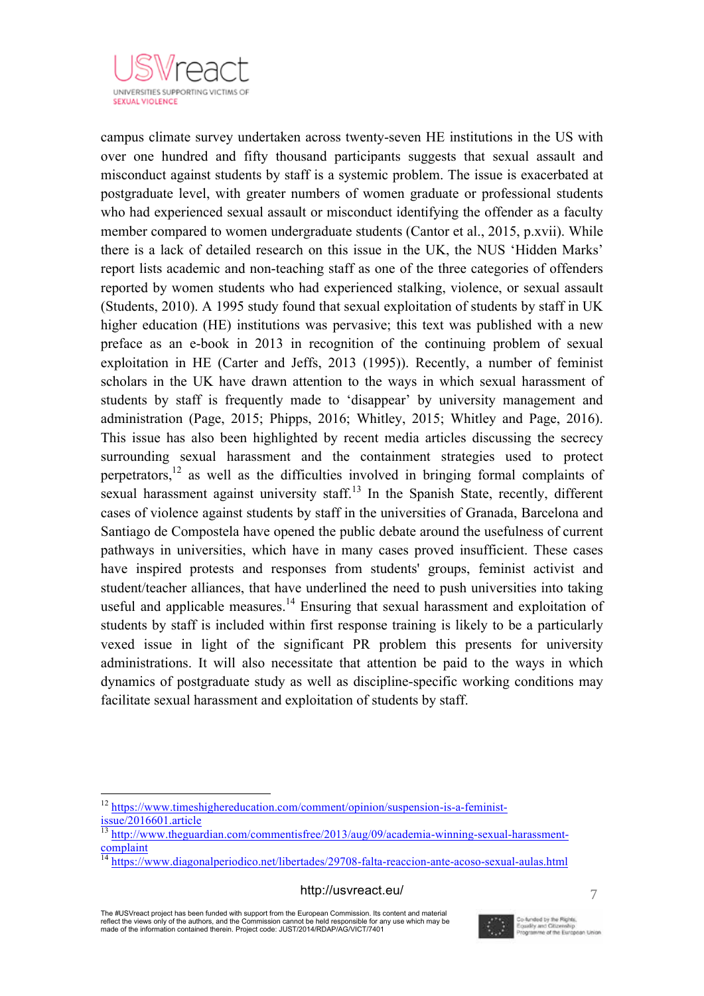

 campus climate survey undertaken across twenty-seven HE institutions in the US with over one hundred and fifty thousand participants suggests that sexual assault and misconduct against students by staff is a systemic problem. The issue is exacerbated at postgraduate level, with greater numbers of women graduate or professional students who had experienced sexual assault or misconduct identifying the offender as a faculty member compared to women undergraduate students (Cantor et al., 2015, p.xvii). While there is a lack of detailed research on this issue in the UK, the NUS 'Hidden Marks' report lists academic and non-teaching staff as one of the three categories of offenders reported by women students who had experienced stalking, violence, or sexual assault (Students, 2010). A 1995 study found that sexual exploitation of students by staff in UK higher education (HE) institutions was pervasive; this text was published with a new preface as an e-book in 2013 in recognition of the continuing problem of sexual exploitation in HE (Carter and Jeffs, 2013 (1995)). Recently, a number of feminist scholars in the UK have drawn attention to the ways in which sexual harassment of students by staff is frequently made to 'disappear' by university management and administration (Page, 2015; Phipps, 2016; Whitley, 2015; Whitley and Page, 2016). This issue has also been highlighted by recent media articles discussing the secrecy surrounding sexual harassment and the containment strategies used to protect perpetrators,<sup>12</sup> as well as the difficulties involved in bringing formal complaints of sexual harassment against university staff.<sup>13</sup> In the Spanish State, recently, different cases of violence against students by staff in the universities of Granada, Barcelona and Santiago de Compostela have opened the public debate around the usefulness of current pathways in universities, which have in many cases proved insufficient. These cases have inspired protests and responses from students' groups, feminist activist and student/teacher alliances, that have underlined the need to push universities into taking useful and applicable measures.<sup>14</sup> Ensuring that sexual harassment and exploitation of students by staff is included within first response training is likely to be a particularly vexed issue in light of the significant PR problem this presents for university administrations. It will also necessitate that attention be paid to the ways in which dynamics of postgraduate study as well as discipline-specific working conditions may facilitate sexual harassment and exploitation of students by staff.

#### http://usvreact.eu/

The #USVreact project has been funded with support from the European Commission. Its content and material reflect the views only of the authors, and the Commission cannot be held responsible for any use which may be made of the information contained therein. Project code: JUST/2014/RDAP/AG/VICT/7401



 <sup>12</sup> https://www.timeshighereducation.com/comment/opinion/suspension-is-a-feminist- $\frac{1}{13}$  issue/2016601.article

<sup>13</sup> http://www.theguardian.com/commentisfree/2013/aug/09/academia-winning-sexual-harassmentcomplaint

 $\frac{14 \text{ https://www.diagonalperiodico.net/libertades/29708-falta-reaccion-ante-acoso-sexual-aulas.html}}{14 \text{ https://www.diagonalperiodico.net/libertades/29708-falta-reaccion-ante-acoso-sexual-aulas.html}}$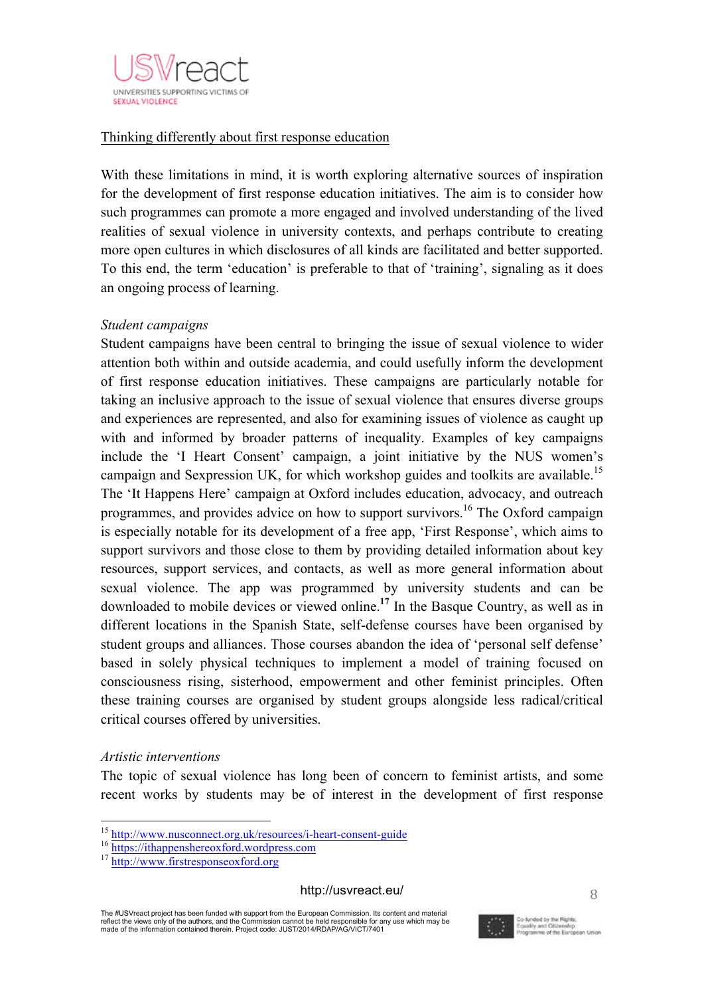

# $\overline{a}$ Thinking differently about first response education

With these limitations in mind, it is worth exploring alternative sources of inspiration for the development of first response education initiatives. The aim is to consider how such programmes can promote a more engaged and involved understanding of the lived realities of sexual violence in university contexts, and perhaps contribute to creating more open cultures in which disclosures of all kinds are facilitated and better supported. To this end, the term 'education' is preferable to that of 'training', signaling as it does an ongoing process of learning.

# *Student campaigns*

Student campaigns have been central to bringing the issue of sexual violence to wider attention both within and outside academia, and could usefully inform the development of first response education initiatives. These campaigns are particularly notable for taking an inclusive approach to the issue of sexual violence that ensures diverse groups and experiences are represented, and also for examining issues of violence as caught up with and informed by broader patterns of inequality. Examples of key campaigns include the 'I Heart Consent' campaign, a joint initiative by the NUS women's campaign and Sexpression UK, for which workshop guides and toolkits are available.<sup>15</sup> The 'It Happens Here' campaign at Oxford includes education, advocacy, and outreach programmes, and provides advice on how to support survivors.<sup>16</sup> The Oxford campaign is especially notable for its development of a free app, 'First Response', which aims to support survivors and those close to them by providing detailed information about key resources, support services, and contacts, as well as more general information about sexual violence. The app was programmed by university students and can be downloaded to mobile devices or viewed online.**<sup>17</sup>** In the Basque Country, as well as in different locations in the Spanish State, self-defense courses have been organised by student groups and alliances. Those courses abandon the idea of 'personal self defense' based in solely physical techniques to implement a model of training focused on consciousness rising, sisterhood, empowerment and other feminist principles. Often these training courses are organised by student groups alongside less radical/critical critical courses offered by universities.

## *Artistic interventions*

The topic of sexual violence has long been of concern to feminist artists, and some recent works by students may be of interest in the development of first response

The #USVreact project has been funded with support from the European Commission. Its content and material reflect the views only of the authors, and the Commission cannot be held responsible for any use which may be made of the information contained therein. Project code: JUST/2014/RDAP/AG/VICT/7401



<sup>&</sup>lt;sup>15</sup> http://www.nusconnect.org.uk/resources/i-heart-consent-guide<br>
<sup>16</sup> https://ithappenshereoxford.wordpress.com<br>
<sup>17</sup> http://www.firstresponseoxford.org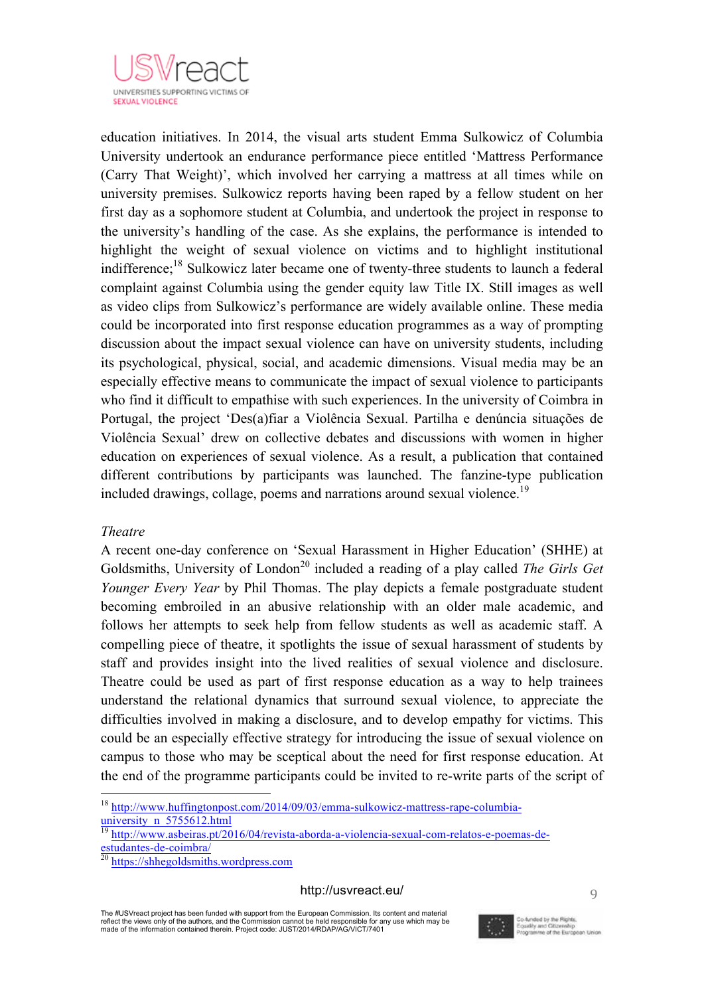

 $\mathbf{r}$  and  $\mathbf{r}$  and  $\mathbf{r}$  and  $\mathbf{r}$ education initiatives. In 2014, the visual arts student Emma Sulkowicz of Columbia University undertook an endurance performance piece entitled 'Mattress Performance (Carry That Weight)', which involved her carrying a mattress at all times while on university premises. Sulkowicz reports having been raped by a fellow student on her first day as a sophomore student at Columbia, and undertook the project in response to the university's handling of the case. As she explains, the performance is intended to highlight the weight of sexual violence on victims and to highlight institutional indifference;<sup>18</sup> Sulkowicz later became one of twenty-three students to launch a federal complaint against Columbia using the gender equity law Title IX. Still images as well as video clips from Sulkowicz's performance are widely available online. These media could be incorporated into first response education programmes as a way of prompting discussion about the impact sexual violence can have on university students, including its psychological, physical, social, and academic dimensions. Visual media may be an especially effective means to communicate the impact of sexual violence to participants who find it difficult to empathise with such experiences. In the university of Coimbra in Portugal, the project 'Des(a)fiar a Violência Sexual. Partilha e denúncia situações de Violência Sexual' drew on collective debates and discussions with women in higher education on experiences of sexual violence. As a result, a publication that contained different contributions by participants was launched. The fanzine-type publication included drawings, collage, poems and narrations around sexual violence.<sup>19</sup>

## *Theatre*

A recent one-day conference on 'Sexual Harassment in Higher Education' (SHHE) at Goldsmiths, University of London<sup>20</sup> included a reading of a play called *The Girls Get Younger Every Year* by Phil Thomas. The play depicts a female postgraduate student becoming embroiled in an abusive relationship with an older male academic, and follows her attempts to seek help from fellow students as well as academic staff. A compelling piece of theatre, it spotlights the issue of sexual harassment of students by staff and provides insight into the lived realities of sexual violence and disclosure. Theatre could be used as part of first response education as a way to help trainees understand the relational dynamics that surround sexual violence, to appreciate the difficulties involved in making a disclosure, and to develop empathy for victims. This could be an especially effective strategy for introducing the issue of sexual violence on campus to those who may be sceptical about the need for first response education. At the end of the programme participants could be invited to re-write parts of the script of

#### http://usvreact.eu/



<sup>&</sup>lt;sup>18</sup> http://www.huffingtonpost.com/2014/09/03/emma-sulkowicz-mattress-rape-columbia- $\frac{1}{\text{university n}}$  5755612.html

 $\frac{19 \text{ http://www.asbeiras pt/2016/04/revista-aborda-a-violencia-sexual-com-relatos-e-poemas-de-estudantes-de-coimbra/}{}$ 

 $\frac{20 \text{ https://shhegoldsmiths.wordpress.com}}$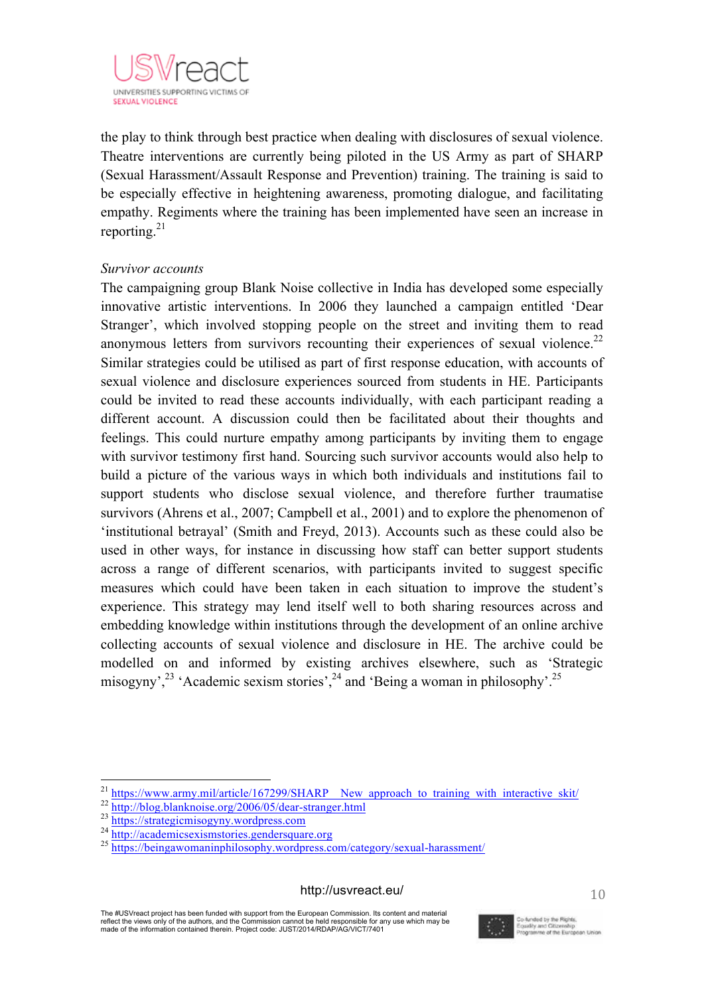

na na mara a ta 1970.<br>Ta ƙasar Ingila the play to think through best practice when dealing with disclosures of sexual violence. Theatre interventions are currently being piloted in the US Army as part of SHARP (Sexual Harassment/Assault Response and Prevention) training. The training is said to be especially effective in heightening awareness, promoting dialogue, and facilitating empathy. Regiments where the training has been implemented have seen an increase in reporting. $21$ 

## *Survivor accounts*

The campaigning group Blank Noise collective in India has developed some especially innovative artistic interventions. In 2006 they launched a campaign entitled 'Dear Stranger', which involved stopping people on the street and inviting them to read anonymous letters from survivors recounting their experiences of sexual violence.<sup>22</sup> Similar strategies could be utilised as part of first response education, with accounts of sexual violence and disclosure experiences sourced from students in HE. Participants could be invited to read these accounts individually, with each participant reading a different account. A discussion could then be facilitated about their thoughts and feelings. This could nurture empathy among participants by inviting them to engage with survivor testimony first hand. Sourcing such survivor accounts would also help to build a picture of the various ways in which both individuals and institutions fail to support students who disclose sexual violence, and therefore further traumatise survivors (Ahrens et al., 2007; Campbell et al., 2001) and to explore the phenomenon of 'institutional betrayal' (Smith and Freyd, 2013). Accounts such as these could also be used in other ways, for instance in discussing how staff can better support students across a range of different scenarios, with participants invited to suggest specific measures which could have been taken in each situation to improve the student's experience. This strategy may lend itself well to both sharing resources across and embedding knowledge within institutions through the development of an online archive collecting accounts of sexual violence and disclosure in HE. The archive could be modelled on and informed by existing archives elsewhere, such as 'Strategic misogyny',<sup>23</sup> 'Academic sexism stories',<sup>24</sup> and 'Being a woman in philosophy'.<sup>25</sup>

#### http://usvreact.eu/

The #USVreact project has been funded with support from the European Commission. Its content and material reflect the views only of the authors, and the Commission cannot be held responsible for any use which may be made of the information contained therein. Project code: JUST/2014/RDAP/AG/VICT/7401



<sup>&</sup>lt;sup>21</sup> https://www.army.mil/article/167299/SHARP\_New\_approach\_to\_training\_with\_interactive\_skit/<br><sup>22</sup> http://blog.blanknoise.org/2006/05/dear-stranger.html<br><sup>23</sup> https://strategicmisogyny.wordpress.com<br><sup>24</sup> http://academicsex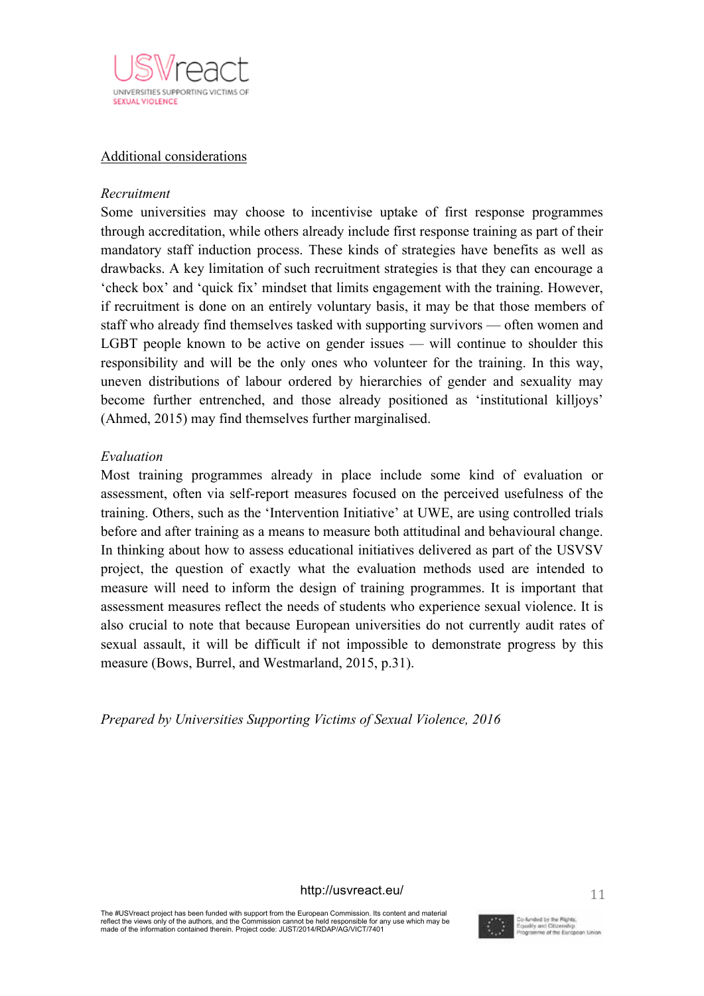

## Additional considerations

## *Recruitment*

Some universities may choose to incentivise uptake of first response programmes through accreditation, while others already include first response training as part of their mandatory staff induction process. These kinds of strategies have benefits as well as drawbacks. A key limitation of such recruitment strategies is that they can encourage a 'check box' and 'quick fix' mindset that limits engagement with the training. However, if recruitment is done on an entirely voluntary basis, it may be that those members of staff who already find themselves tasked with supporting survivors — often women and LGBT people known to be active on gender issues — will continue to shoulder this responsibility and will be the only ones who volunteer for the training. In this way, uneven distributions of labour ordered by hierarchies of gender and sexuality may become further entrenched, and those already positioned as 'institutional killjoys' (Ahmed, 2015) may find themselves further marginalised.

# *Evaluation*

Most training programmes already in place include some kind of evaluation or assessment, often via self-report measures focused on the perceived usefulness of the training. Others, such as the 'Intervention Initiative' at UWE, are using controlled trials before and after training as a means to measure both attitudinal and behavioural change. In thinking about how to assess educational initiatives delivered as part of the USVSV project, the question of exactly what the evaluation methods used are intended to measure will need to inform the design of training programmes. It is important that assessment measures reflect the needs of students who experience sexual violence. It is also crucial to note that because European universities do not currently audit rates of sexual assault, it will be difficult if not impossible to demonstrate progress by this measure (Bows, Burrel, and Westmarland, 2015, p.31).

*Prepared by Universities Supporting Victims of Sexual Violence, 2016*

http://usvreact.eu/

The #USVreact project has been funded with support from the European Commission. Its content and material reflect the views only of the authors, and the Commission cannot be held responsible for any use which may be made of the information contained therein. Project code: JUST/2014/RDAP/AG/VICT/7401

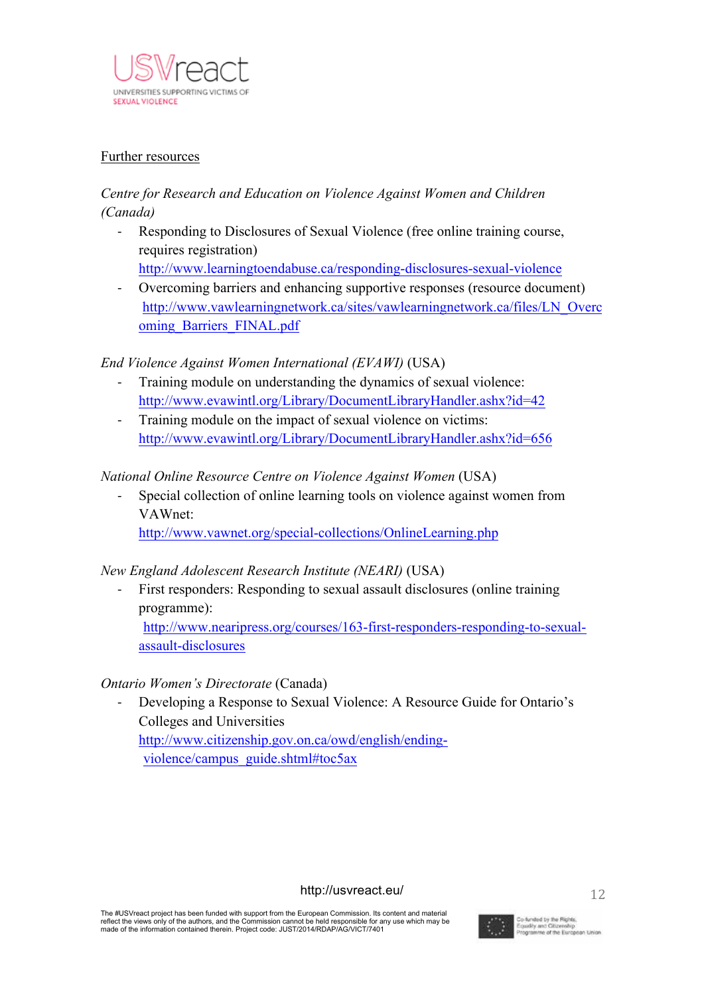

# Further resources

# *Centre for Research and Education on Violence Against Women and Children (Canada)*

- Responding to Disclosures of Sexual Violence (free online training course, requires registration)
	- http://www.learningtoendabuse.ca/responding-disclosures-sexual-violence
- Overcoming barriers and enhancing supportive responses (resource document) http://www.vawlearningnetwork.ca/sites/vawlearningnetwork.ca/files/LN\_Overc oming\_Barriers\_FINAL.pdf

# *End Violence Against Women International (EVAWI)* (USA)

- Training module on understanding the dynamics of sexual violence: http://www.evawintl.org/Library/DocumentLibraryHandler.ashx?id=42
- Training module on the impact of sexual violence on victims: http://www.evawintl.org/Library/DocumentLibraryHandler.ashx?id=656

# *National Online Resource Centre on Violence Against Women* (USA)

Special collection of online learning tools on violence against women from VAWnet:

http://www.vawnet.org/special-collections/OnlineLearning.php

# *New England Adolescent Research Institute (NEARI)* (USA)

- First responders: Responding to sexual assault disclosures (online training programme):

http://www.nearipress.org/courses/163-first-responders-responding-to-sexualassault-disclosures

# *Ontario Women's Directorate* (Canada)

Developing a Response to Sexual Violence: A Resource Guide for Ontario's Colleges and Universities http://www.citizenship.gov.on.ca/owd/english/endingviolence/campus\_guide.shtml#toc5ax

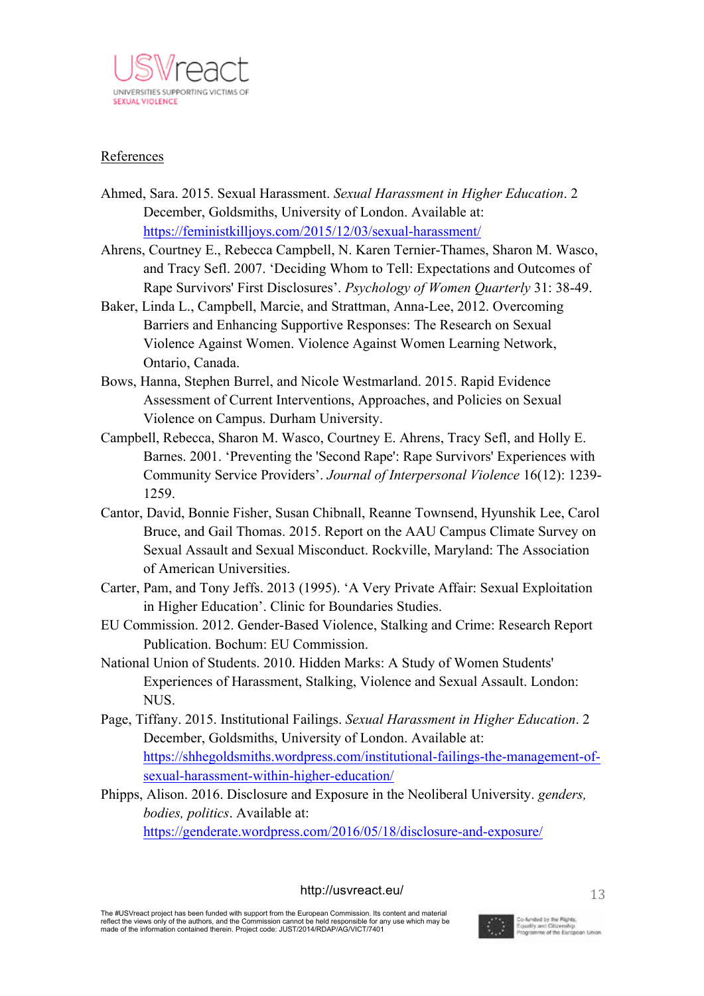

# References

- Ahmed, Sara. 2015. Sexual Harassment. *Sexual Harassment in Higher Education*. 2 December, Goldsmiths, University of London. Available at: https://feministkilljoys.com/2015/12/03/sexual-harassment/
- Ahrens, Courtney E., Rebecca Campbell, N. Karen Ternier-Thames, Sharon M. Wasco, and Tracy Sefl. 2007. 'Deciding Whom to Tell: Expectations and Outcomes of Rape Survivors' First Disclosures'. *Psychology of Women Quarterly* 31: 38-49.
- Baker, Linda L., Campbell, Marcie, and Strattman, Anna-Lee, 2012. Overcoming Barriers and Enhancing Supportive Responses: The Research on Sexual Violence Against Women. Violence Against Women Learning Network, Ontario, Canada.
- Bows, Hanna, Stephen Burrel, and Nicole Westmarland. 2015. Rapid Evidence Assessment of Current Interventions, Approaches, and Policies on Sexual Violence on Campus. Durham University.
- Campbell, Rebecca, Sharon M. Wasco, Courtney E. Ahrens, Tracy Sefl, and Holly E. Barnes. 2001. 'Preventing the 'Second Rape': Rape Survivors' Experiences with Community Service Providers'. *Journal of Interpersonal Violence* 16(12): 1239- 1259.
- Cantor, David, Bonnie Fisher, Susan Chibnall, Reanne Townsend, Hyunshik Lee, Carol Bruce, and Gail Thomas. 2015. Report on the AAU Campus Climate Survey on Sexual Assault and Sexual Misconduct. Rockville, Maryland: The Association of American Universities.
- Carter, Pam, and Tony Jeffs. 2013 (1995). 'A Very Private Affair: Sexual Exploitation in Higher Education'. Clinic for Boundaries Studies.
- EU Commission. 2012. Gender-Based Violence, Stalking and Crime: Research Report Publication. Bochum: EU Commission.
- National Union of Students. 2010. Hidden Marks: A Study of Women Students' Experiences of Harassment, Stalking, Violence and Sexual Assault. London: NUS.
- Page, Tiffany. 2015. Institutional Failings. *Sexual Harassment in Higher Education*. 2 December, Goldsmiths, University of London. Available at: https://shhegoldsmiths.wordpress.com/institutional-failings-the-management-ofsexual-harassment-within-higher-education/
- Phipps, Alison. 2016. Disclosure and Exposure in the Neoliberal University. *genders, bodies, politics*. Available at: https://genderate.wordpress.com/2016/05/18/disclosure-and-exposure/

# http://usvreact.eu/

The #USVreact project has been funded with support from the European Commission. Its content and material reflect the views only of the authors, and the Commission cannot be held responsible for any use which may be made of the information contained therein. Project code: JUST/2014/RDAP/AG/VICT/7401